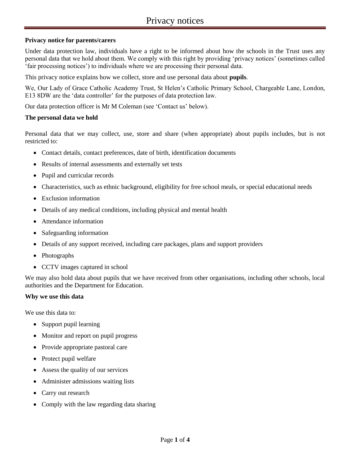# **Privacy notice for parents/carers**

Under data protection law, individuals have a right to be informed about how the schools in the Trust uses any personal data that we hold about them. We comply with this right by providing 'privacy notices' (sometimes called 'fair processing notices') to individuals where we are processing their personal data.

This privacy notice explains how we collect, store and use personal data about **pupils**.

We, Our Lady of Grace Catholic Academy Trust, St Helen's Catholic Primary School, Chargeable Lane, London, E13 8DW are the 'data controller' for the purposes of data protection law.

Our data protection officer is Mr M Coleman (see 'Contact us' below).

### **The personal data we hold**

Personal data that we may collect, use, store and share (when appropriate) about pupils includes, but is not restricted to:

- Contact details, contact preferences, date of birth, identification documents
- Results of internal assessments and externally set tests
- Pupil and curricular records
- Characteristics, such as ethnic background, eligibility for free school meals, or special educational needs
- Exclusion information
- Details of any medical conditions, including physical and mental health
- Attendance information
- Safeguarding information
- Details of any support received, including care packages, plans and support providers
- Photographs
- CCTV images captured in school

We may also hold data about pupils that we have received from other organisations, including other schools, local authorities and the Department for Education.

#### **Why we use this data**

We use this data to:

- Support pupil learning
- Monitor and report on pupil progress
- Provide appropriate pastoral care
- Protect pupil welfare
- Assess the quality of our services
- Administer admissions waiting lists
- Carry out research
- Comply with the law regarding data sharing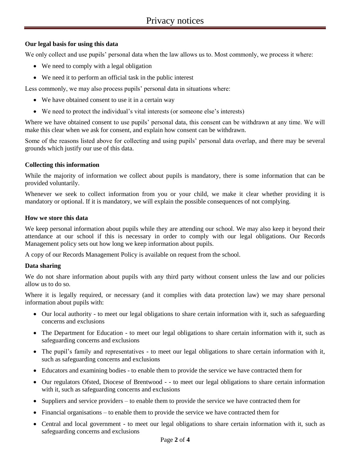# **Our legal basis for using this data**

We only collect and use pupils' personal data when the law allows us to. Most commonly, we process it where:

- We need to comply with a legal obligation
- We need it to perform an official task in the public interest

Less commonly, we may also process pupils' personal data in situations where:

- We have obtained consent to use it in a certain way
- We need to protect the individual's vital interests (or someone else's interests)

Where we have obtained consent to use pupils' personal data, this consent can be withdrawn at any time. We will make this clear when we ask for consent, and explain how consent can be withdrawn.

Some of the reasons listed above for collecting and using pupils' personal data overlap, and there may be several grounds which justify our use of this data.

# **Collecting this information**

While the majority of information we collect about pupils is mandatory, there is some information that can be provided voluntarily.

Whenever we seek to collect information from you or your child, we make it clear whether providing it is mandatory or optional. If it is mandatory, we will explain the possible consequences of not complying.

## **How we store this data**

We keep personal information about pupils while they are attending our school. We may also keep it beyond their attendance at our school if this is necessary in order to comply with our legal obligations. Our Records Management policy sets out how long we keep information about pupils.

A copy of our Records Management Policy is available on request from the school.

# **Data sharing**

We do not share information about pupils with any third party without consent unless the law and our policies allow us to do so.

Where it is legally required, or necessary (and it complies with data protection law) we may share personal information about pupils with:

- Our local authority to meet our legal obligations to share certain information with it, such as safeguarding concerns and exclusions
- The Department for Education to meet our legal obligations to share certain information with it, such as safeguarding concerns and exclusions
- The pupil's family and representatives to meet our legal obligations to share certain information with it, such as safeguarding concerns and exclusions
- Educators and examining bodies to enable them to provide the service we have contracted them for
- Our regulators Ofsted, Diocese of Brentwood - to meet our legal obligations to share certain information with it, such as safeguarding concerns and exclusions
- Suppliers and service providers to enable them to provide the service we have contracted them for
- Financial organisations to enable them to provide the service we have contracted them for
- Central and local government to meet our legal obligations to share certain information with it, such as safeguarding concerns and exclusions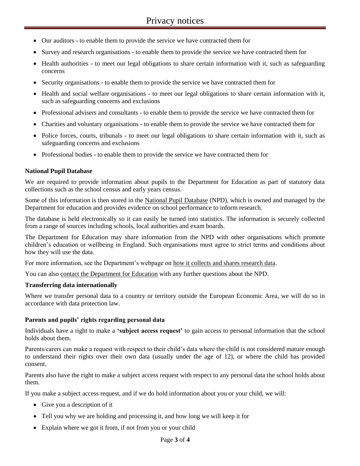- Our auditors to enable them to provide the service we have contracted them for
- Survey and research organisations to enable them to provide the service we have contracted them for
- Health authorities to meet our legal obligations to share certain information with it, such as safeguarding concerns
- Security organisations to enable them to provide the service we have contracted them for
- Health and social welfare organisations to meet our legal obligations to share certain information with it, such as safeguarding concerns and exclusions
- Professional advisers and consultants to enable them to provide the service we have contracted them for
- Charities and voluntary organisations to enable them to provide the service we have contracted them for
- Police forces, courts, tribunals to meet our legal obligations to share certain information with it, such as safeguarding concerns and exclusions
- Professional bodies to enable them to provide the service we have contracted them for

### **National Pupil Database**

We are required to provide information about pupils to the Department for Education as part of statutory data collections such as the school census and early years census.

Some of this information is then stored in the [National Pupil Database](https://www.gov.uk/government/publications/national-pupil-database-user-guide-and-supporting-information) (NPD), which is owned and managed by the Department for education and provides evidence on school performance to inform research.

The database is held electronically so it can easily be turned into statistics. The information is securely collected from a range of sources including schools, local authorities and exam boards.

The Department for Education may share information from the NPD with other organisations which promote children's education or wellbeing in England. Such organisations must agree to strict terms and conditions about how they will use the data.

For more information, see the Department's webpage on [how it collects and shares research data.](https://www.gov.uk/data-protection-how-we-collect-and-share-research-data)

You can als[o contact the Department for Education](https://www.gov.uk/contact-dfe) with any further questions about the NPD.

#### **Transferring data internationally**

Where we transfer personal data to a country or territory outside the European Economic Area, we will do so in accordance with data protection law.

#### **Parents and pupils' rights regarding personal data**

Individuals have a right to make a **'subject access request'** to gain access to personal information that the school holds about them.

Parents/carers can make a request with respect to their child's data where the child is not considered mature enough to understand their rights over their own data (usually under the age of 12), or where the child has provided consent.

Parents also have the right to make a subject access request with respect to any personal data the school holds about them.

If you make a subject access request, and if we do hold information about you or your child, we will:

- Give you a description of it
- Tell you why we are holding and processing it, and how long we will keep it for
- Explain where we got it from, if not from you or your child